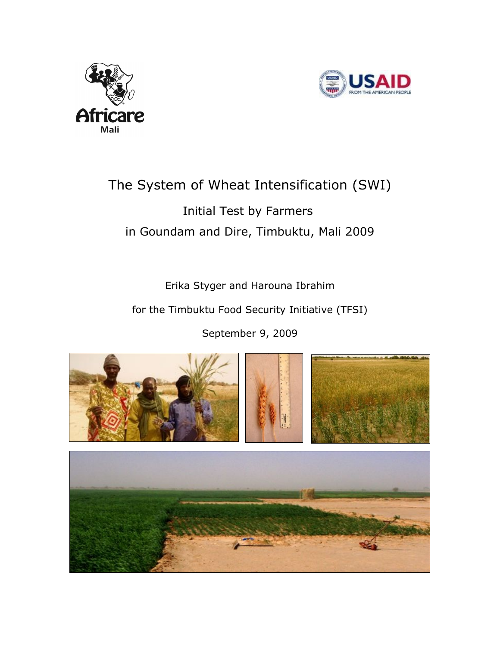



# The System of Wheat Intensification (SWI) Initial Test by Farmers

# in Goundam and Dire, Timbuktu, Mali 2009

Erika Styger and Harouna Ibrahim

for the Timbuktu Food Security Initiative (TFSI)

September 9, 2009

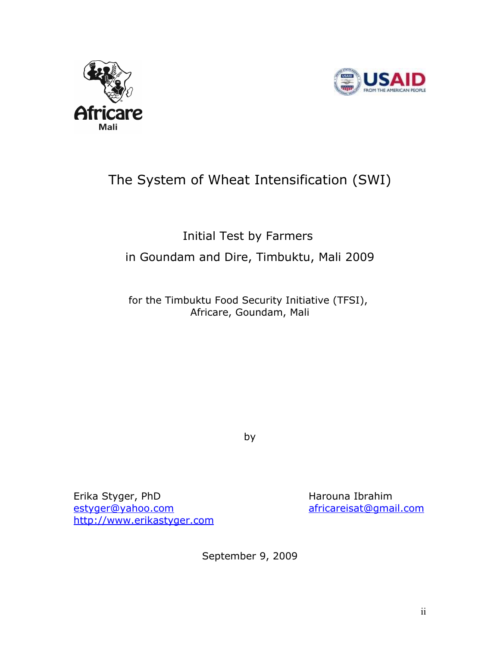



# The System of Wheat Intensification (SWI)

# Initial Test by Farmers in Goundam and Dire, Timbuktu, Mali 2009

for the Timbuktu Food Security Initiative (TFSI), Africare, Goundam, Mali

by

Erika Styger, PhD Harouna Ibrahim [estyger@yahoo.com](mailto:estyger@yahoo.com) [africareisat@gmail.com](mailto:africareisat@gmail.com) [http://www.erikastyger.com](http://www.erikastyger.com/)

September 9, 2009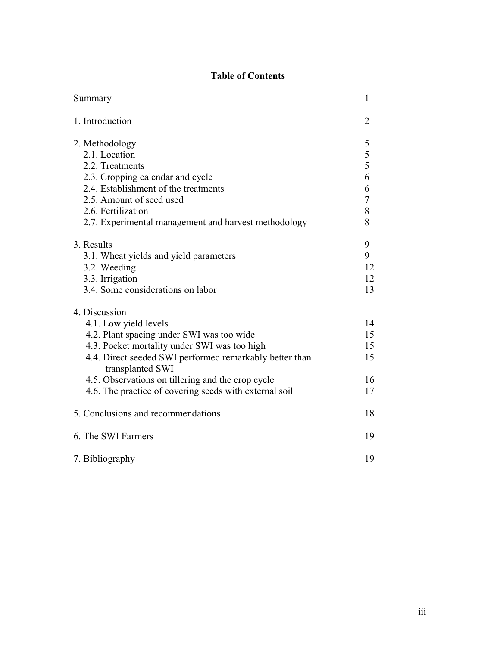# **Table of Contents**

| Summary                                                                                                                                                                                                                                                                                                          | 1                                |
|------------------------------------------------------------------------------------------------------------------------------------------------------------------------------------------------------------------------------------------------------------------------------------------------------------------|----------------------------------|
| 1. Introduction                                                                                                                                                                                                                                                                                                  | 2                                |
| 2. Methodology<br>2.1. Location<br>2.2. Treatments<br>2.3. Cropping calendar and cycle<br>2.4. Establishment of the treatments                                                                                                                                                                                   | 5<br>5<br>5<br>6<br>6            |
| 2.5. Amount of seed used<br>2.6. Fertilization                                                                                                                                                                                                                                                                   | $\overline{7}$<br>8              |
| 2.7. Experimental management and harvest methodology                                                                                                                                                                                                                                                             | 8                                |
| 3. Results<br>3.1. Wheat yields and yield parameters<br>3.2. Weeding<br>3.3. Irrigation<br>3.4. Some considerations on labor                                                                                                                                                                                     | 9<br>9<br>12<br>12<br>13         |
| 4. Discussion                                                                                                                                                                                                                                                                                                    |                                  |
| 4.1. Low yield levels<br>4.2. Plant spacing under SWI was too wide<br>4.3. Pocket mortality under SWI was too high<br>4.4. Direct seeded SWI performed remarkably better than<br>transplanted SWI<br>4.5. Observations on tillering and the crop cycle<br>4.6. The practice of covering seeds with external soil | 14<br>15<br>15<br>15<br>16<br>17 |
| 5. Conclusions and recommendations                                                                                                                                                                                                                                                                               | 18                               |
| 6. The SWI Farmers                                                                                                                                                                                                                                                                                               | 19                               |
| 7. Bibliography                                                                                                                                                                                                                                                                                                  | 19                               |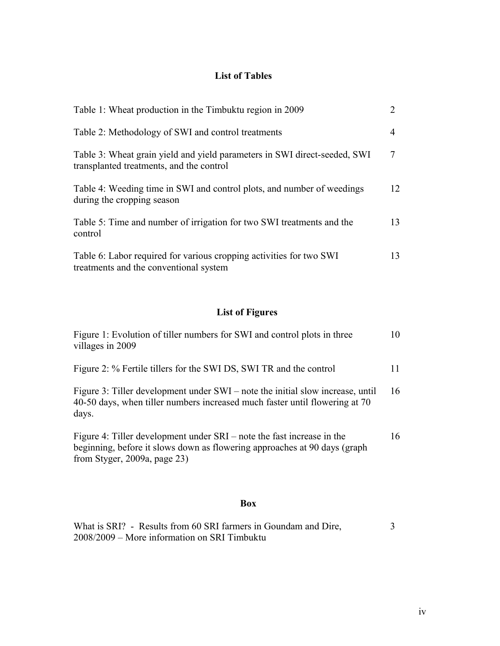# **List of Tables**

| Table 1: Wheat production in the Timbuktu region in 2009                                                              | 2  |
|-----------------------------------------------------------------------------------------------------------------------|----|
| Table 2: Methodology of SWI and control treatments                                                                    | 4  |
| Table 3: Wheat grain yield and yield parameters in SWI direct-seeded, SWI<br>transplanted treatments, and the control |    |
| Table 4: Weeding time in SWI and control plots, and number of weedings<br>during the cropping season                  | 12 |
| Table 5: Time and number of irrigation for two SWI treatments and the<br>control                                      | 13 |
| Table 6: Labor required for various cropping activities for two SWI<br>treatments and the conventional system         | 13 |

# **List of Figures**

| Figure 1: Evolution of tiller numbers for SWI and control plots in three<br>villages in 2009                                                                                           | 10 |
|----------------------------------------------------------------------------------------------------------------------------------------------------------------------------------------|----|
| Figure 2: % Fertile tillers for the SWI DS, SWI TR and the control                                                                                                                     | 11 |
| Figure 3: Tiller development under SWI – note the initial slow increase, until<br>40-50 days, when tiller numbers increased much faster until flowering at 70<br>days.                 | 16 |
| Figure 4: Tiller development under SRI – note the fast increase in the<br>beginning, before it slows down as flowering approaches at 90 days (graph<br>from Styger, $2009a$ , page 23) | 16 |

### **Box**

| What is SRI? - Results from 60 SRI farmers in Goundam and Dire, |  |
|-----------------------------------------------------------------|--|
| 2008/2009 – More information on SRI Timbuktu                    |  |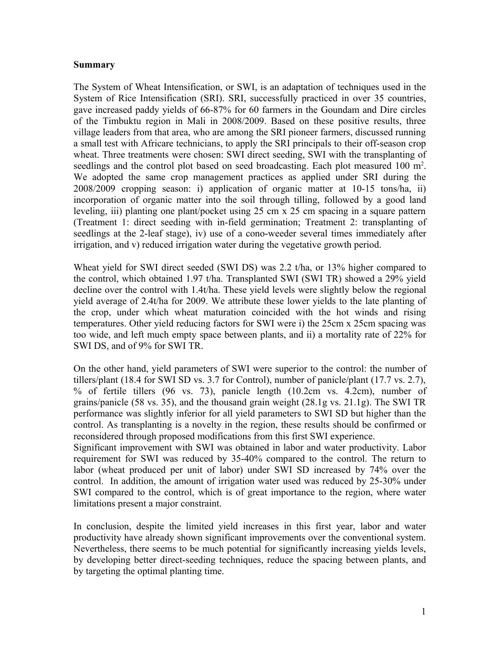#### **Summary**

The System of Wheat Intensification, or SWI, is an adaptation of techniques used in the System of Rice Intensification (SRI). SRI, successfully practiced in over 35 countries, gave increased paddy yields of 66-87% for 60 farmers in the Goundam and Dire circles of the Timbuktu region in Mali in 2008/2009. Based on these positive results, three village leaders from that area, who are among the SRI pioneer farmers, discussed running a small test with Africare technicians, to apply the SRI principals to their off-season crop wheat. Three treatments were chosen: SWI direct seeding, SWI with the transplanting of seedlings and the control plot based on seed broadcasting. Each plot measured  $100 \text{ m}^2$ . We adopted the same crop management practices as applied under SRI during the 2008/2009 cropping season: i) application of organic matter at 10-15 tons/ha, ii) incorporation of organic matter into the soil through tilling, followed by a good land leveling, iii) planting one plant/pocket using 25 cm x 25 cm spacing in a square pattern (Treatment 1: direct seeding with in-field germination; Treatment 2: transplanting of seedlings at the 2-leaf stage), iv) use of a cono-weeder several times immediately after irrigation, and v) reduced irrigation water during the vegetative growth period.

Wheat yield for SWI direct seeded (SWI DS) was 2.2 t/ha, or 13% higher compared to the control, which obtained 1.97 t/ha. Transplanted SWI (SWI TR) showed a 29% yield decline over the control with 1.4t/ha. These yield levels were slightly below the regional yield average of 2.4t/ha for 2009. We attribute these lower yields to the late planting of the crop, under which wheat maturation coincided with the hot winds and rising temperatures. Other yield reducing factors for SWI were i) the 25cm x 25cm spacing was too wide, and left much empty space between plants, and ii) a mortality rate of 22% for SWI DS, and of 9% for SWI TR.

On the other hand, yield parameters of SWI were superior to the control: the number of tillers/plant (18.4 for SWI SD vs. 3.7 for Control), number of panicle/plant (17.7 vs. 2.7), % of fertile tillers (96 vs. 73), panicle length (10.2cm vs. 4.2cm), number of grains/panicle (58 vs. 35), and the thousand grain weight (28.1g vs. 21.1g). The SWI TR performance was slightly inferior for all yield parameters to SWI SD but higher than the control. As transplanting is a novelty in the region, these results should be confirmed or reconsidered through proposed modifications from this first SWI experience.

Significant improvement with SWI was obtained in labor and water productivity. Labor requirement for SWI was reduced by 35-40% compared to the control. The return to labor (wheat produced per unit of labor) under SWI SD increased by 74% over the control. In addition, the amount of irrigation water used was reduced by 25-30% under SWI compared to the control, which is of great importance to the region, where water limitations present a major constraint.

In conclusion, despite the limited yield increases in this first year, labor and water productivity have already shown significant improvements over the conventional system. Nevertheless, there seems to be much potential for significantly increasing yields levels, by developing better direct-seeding techniques, reduce the spacing between plants, and by targeting the optimal planting time.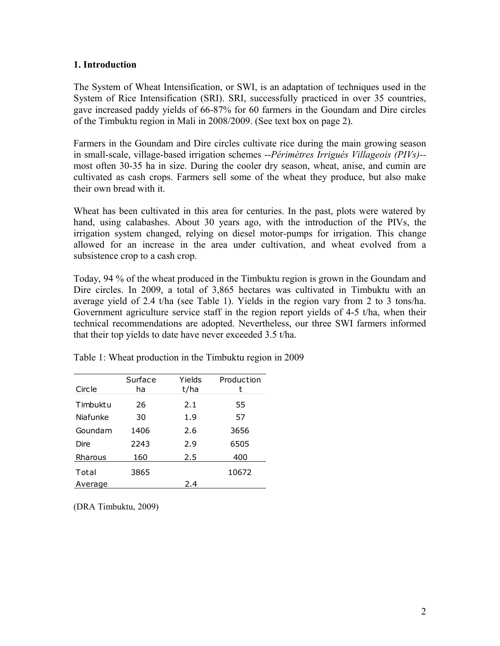#### **1. Introduction**

The System of Wheat Intensification, or SWI, is an adaptation of techniques used in the System of Rice Intensification (SRI). SRI, successfully practiced in over 35 countries, gave increased paddy yields of 66-87% for 60 farmers in the Goundam and Dire circles of the Timbuktu region in Mali in 2008/2009. (See text box on page 2).

Farmers in the Goundam and Dire circles cultivate rice during the main growing season in small-scale, village-based irrigation schemes --*Périmètres Irrigués Villageois (PIVs)-* most often 30-35 ha in size. During the cooler dry season, wheat, anise, and cumin are cultivated as cash crops. Farmers sell some of the wheat they produce, but also make their own bread with it.

Wheat has been cultivated in this area for centuries. In the past, plots were watered by hand, using calabashes. About 30 years ago, with the introduction of the PIVs, the irrigation system changed, relying on diesel motor-pumps for irrigation. This change allowed for an increase in the area under cultivation, and wheat evolved from a subsistence crop to a cash crop.

Today, 94 % of the wheat produced in the Timbuktu region is grown in the Goundam and Dire circles. In 2009, a total of 3,865 hectares was cultivated in Timbuktu with an average yield of 2.4 t/ha (see Table 1). Yields in the region vary from 2 to 3 tons/ha. Government agriculture service staff in the region report yields of 4-5 t/ha, when their technical recommendations are adopted. Nevertheless, our three SWI farmers informed that their top yields to date have never exceeded 3.5 t/ha.

| Circle   | Surface<br>ha | Yields<br>t/ha | Production |
|----------|---------------|----------------|------------|
| Timbuktu | 26            | 2.1            | 55         |
| Niafunke | 30            | 1.9            | 57         |
| Goundam  | 1406          | 2.6            | 3656       |
| Dire     | 2243          | 2.9            | 6505       |
| Rharous  | 160           | 2.5            | 400        |
| Total    | 3865          |                | 10672      |
| Average  |               | 2.4            |            |

Table 1: Wheat production in the Timbuktu region in 2009

(DRA Timbuktu, 2009)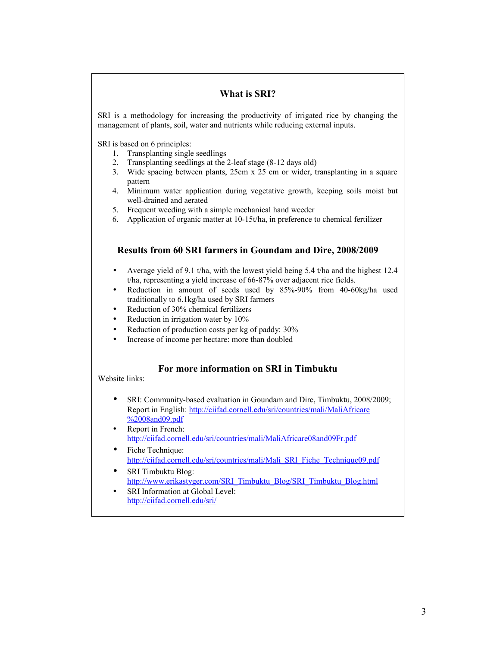#### **What is SRI?**

SRI is a methodology for increasing the productivity of irrigated rice by changing the management of plants, soil, water and nutrients while reducing external inputs.

SRI is based on 6 principles:

- 1. Transplanting single seedlings
- 2. Transplanting seedlings at the 2-leaf stage (8-12 days old)
- 3. Wide spacing between plants, 25cm x 25 cm or wider, transplanting in a square pattern
- 4. Minimum water application during vegetative growth, keeping soils moist but well-drained and aerated
- 5. Frequent weeding with a simple mechanical hand weeder
- 6. Application of organic matter at 10-15t/ha, in preference to chemical fertilizer

#### **Results from 60 SRI farmers in Goundam and Dire, 2008/2009**

- Average yield of 9.1 t/ha, with the lowest yield being 5.4 t/ha and the highest 12.4 t/ha, representing a yield increase of 66-87% over adjacent rice fields.
- Reduction in amount of seeds used by 85%-90% from 40-60kg/ha used traditionally to 6.1kg/ha used by SRI farmers
- Reduction of 30% chemical fertilizers
- Reduction in irrigation water by 10%
- Reduction of production costs per kg of paddy: 30%
- Increase of income per hectare: more than doubled

#### **For more information on SRI in Timbuktu**

Website links:

- SRI: Community-based evaluation in Goundam and Dire, Timbuktu, 2008/2009; Report in English: [http://ciifad.cornell.edu/sri/countries/mali/MaliAfricare](http://ciifad.cornell.edu/sri/countries/mali/MaliAfricare%2008and09.pdf) [%2008and09.pdf](http://ciifad.cornell.edu/sri/countries/mali/MaliAfricare%2008and09.pdf)
- Report in French: <http://ciifad.cornell.edu/sri/countries/mali/MaliAfricare08and09Fr.pdf>
- Fiche Technique: [http://ciifad.cornell.edu/sri/countries/mali/Mali\\_SRI\\_Fiche\\_Technique09.pdf](http://ciifad.cornell.edu/sri/countries/mali/Mali_SRI_Fiche_Technique09.pdf)
- SRI Timbuktu Blog: [http://www.erikastyger.com/SRI\\_Timbuktu\\_Blog/SRI\\_Timbuktu\\_Blog.html](http://www.erikastyger.com/SRI_Timbuktu_Blog/SRI_Timbuktu_Blog.html)
- SRI Information at Global Level: <http://ciifad.cornell.edu/sri/>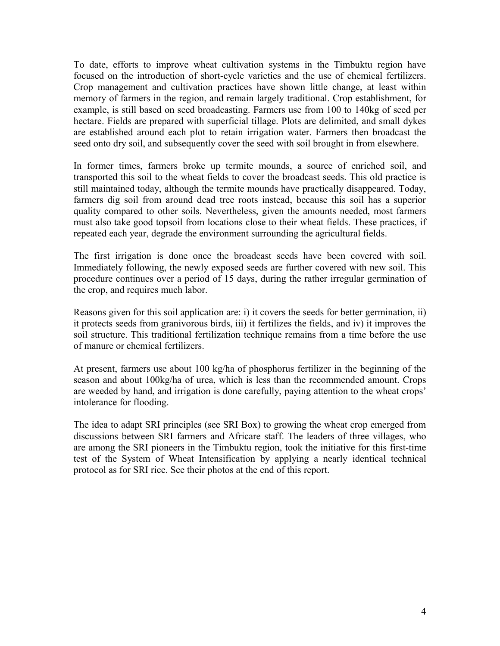To date, efforts to improve wheat cultivation systems in the Timbuktu region have focused on the introduction of short-cycle varieties and the use of chemical fertilizers. Crop management and cultivation practices have shown little change, at least within memory of farmers in the region, and remain largely traditional. Crop establishment, for example, is still based on seed broadcasting. Farmers use from 100 to 140kg of seed per hectare. Fields are prepared with superficial tillage. Plots are delimited, and small dykes are established around each plot to retain irrigation water. Farmers then broadcast the seed onto dry soil, and subsequently cover the seed with soil brought in from elsewhere.

In former times, farmers broke up termite mounds, a source of enriched soil, and transported this soil to the wheat fields to cover the broadcast seeds. This old practice is still maintained today, although the termite mounds have practically disappeared. Today, farmers dig soil from around dead tree roots instead, because this soil has a superior quality compared to other soils. Nevertheless, given the amounts needed, most farmers must also take good topsoil from locations close to their wheat fields. These practices, if repeated each year, degrade the environment surrounding the agricultural fields.

The first irrigation is done once the broadcast seeds have been covered with soil. Immediately following, the newly exposed seeds are further covered with new soil. This procedure continues over a period of 15 days, during the rather irregular germination of the crop, and requires much labor.

Reasons given for this soil application are: i) it covers the seeds for better germination, ii) it protects seeds from granivorous birds, iii) it fertilizes the fields, and iv) it improves the soil structure. This traditional fertilization technique remains from a time before the use of manure or chemical fertilizers.

At present, farmers use about 100 kg/ha of phosphorus fertilizer in the beginning of the season and about 100kg/ha of urea, which is less than the recommended amount. Crops are weeded by hand, and irrigation is done carefully, paying attention to the wheat crops' intolerance for flooding.

The idea to adapt SRI principles (see SRI Box) to growing the wheat crop emerged from discussions between SRI farmers and Africare staff. The leaders of three villages, who are among the SRI pioneers in the Timbuktu region, took the initiative for this first-time test of the System of Wheat Intensification by applying a nearly identical technical protocol as for SRI rice. See their photos at the end of this report.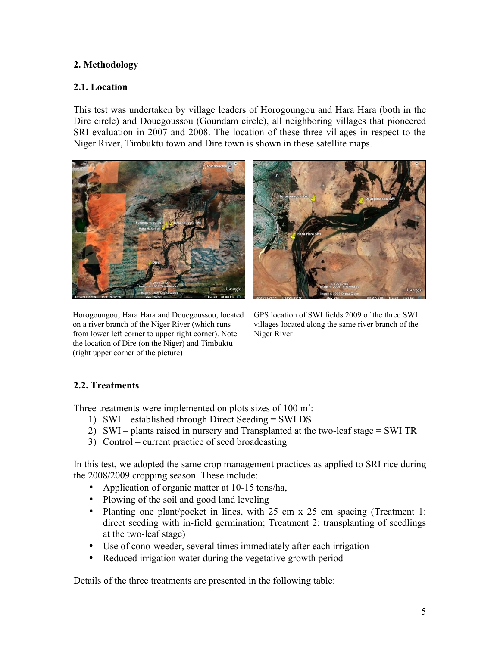### **2. Methodology**

#### **2.1. Location**

This test was undertaken by village leaders of Horogoungou and Hara Hara (both in the Dire circle) and Douegoussou (Goundam circle), all neighboring villages that pioneered SRI evaluation in 2007 and 2008. The location of these three villages in respect to the Niger River, Timbuktu town and Dire town is shown in these satellite maps.



Horogoungou, Hara Hara and Douegoussou, located on a river branch of the Niger River (which runs from lower left corner to upper right corner). Note the location of Dire (on the Niger) and Timbuktu (right upper corner of the picture)



GPS location of SWI fields 2009 of the three SWI villages located along the same river branch of the Niger River

# **2.2. Treatments**

Three treatments were implemented on plots sizes of  $100 \text{ m}^2$ .

- 1) SWI established through Direct Seeding = SWI DS
- 2) SWI plants raised in nursery and Transplanted at the two-leaf stage = SWI TR
- 3) Control current practice of seed broadcasting

In this test, we adopted the same crop management practices as applied to SRI rice during the 2008/2009 cropping season. These include:

- Application of organic matter at 10-15 tons/ha,
- Plowing of the soil and good land leveling
- Planting one plant/pocket in lines, with 25 cm x 25 cm spacing (Treatment 1: direct seeding with in-field germination; Treatment 2: transplanting of seedlings at the two-leaf stage)
- Use of cono-weeder, several times immediately after each irrigation
- Reduced irrigation water during the vegetative growth period

Details of the three treatments are presented in the following table: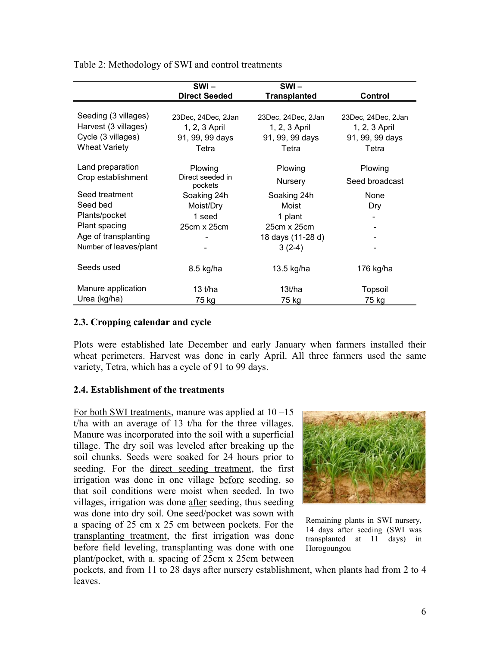|                        | $SWI -$                     | $SWI -$             |                    |
|------------------------|-----------------------------|---------------------|--------------------|
|                        | <b>Direct Seeded</b>        | <b>Transplanted</b> | <b>Control</b>     |
|                        |                             |                     |                    |
| Seeding (3 villages)   | 23Dec, 24Dec, 2Jan          | 23Dec, 24Dec, 2Jan  | 23Dec, 24Dec, 2Jan |
| Harvest (3 villages)   | 1, 2, 3 April               | 1, 2, 3 April       | 1, 2, 3 April      |
| Cycle (3 villages)     | 91, 99, 99 days             | 91, 99, 99 days     | 91, 99, 99 days    |
| <b>Wheat Variety</b>   | Tetra                       | Tetra               | Tetra              |
|                        |                             |                     |                    |
| Land preparation       | Plowing                     | Plowing             | Plowing            |
| Crop establishment     | Direct seeded in<br>pockets | Nursery             | Seed broadcast     |
| Seed treatment         | Soaking 24h                 | Soaking 24h         | None               |
| Seed bed               | Moist/Dry                   | Moist               | Dry                |
| Plants/pocket          | 1 seed                      | 1 plant             |                    |
| Plant spacing          | 25cm x 25cm                 | 25cm x 25cm         |                    |
| Age of transplanting   |                             | 18 days (11-28 d)   |                    |
| Number of leaves/plant |                             | $3(2-4)$            |                    |
|                        |                             |                     |                    |
| Seeds used             | 8.5 kg/ha                   | 13.5 kg/ha          | 176 kg/ha          |
|                        |                             |                     |                    |
| Manure application     | 13 $t/ha$                   | 13t/ha              | Topsoil            |
| Urea (kg/ha)           | 75 kg                       | 75 kg               | 75 kg              |

Table 2: Methodology of SWI and control treatments

#### **2.3. Cropping calendar and cycle**

Plots were established late December and early January when farmers installed their wheat perimeters. Harvest was done in early April. All three farmers used the same variety, Tetra, which has a cycle of 91 to 99 days.

#### **2.4. Establishment of the treatments**

For both SWI treatments, manure was applied at 10 –15 t/ha with an average of  $13$  t/ha for the three villages. Manure was incorporated into the soil with a superficial tillage. The dry soil was leveled after breaking up the soil chunks. Seeds were soaked for 24 hours prior to seeding. For the direct seeding treatment, the first irrigation was done in one village before seeding, so that soil conditions were moist when seeded. In two villages, irrigation was done after seeding, thus seeding was done into dry soil. One seed/pocket was sown with a spacing of 25 cm x 25 cm between pockets. For the transplanting treatment, the first irrigation was done before field leveling, transplanting was done with one plant/pocket, with a. spacing of 25cm x 25cm between



Remaining plants in SWI nursery, 14 days after seeding (SWI was transplanted at 11 days) in Horogoungou

pockets, and from 11 to 28 days after nursery establishment, when plants had from 2 to 4 leaves.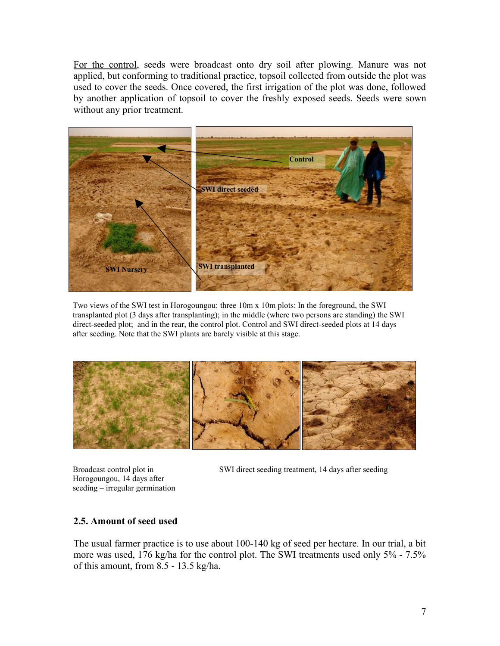For the control, seeds were broadcast onto dry soil after plowing. Manure was not applied, but conforming to traditional practice, topsoil collected from outside the plot was used to cover the seeds. Once covered, the first irrigation of the plot was done, followed by another application of topsoil to cover the freshly exposed seeds. Seeds were sown without any prior treatment.



Two views of the SWI test in Horogoungou: three 10m x 10m plots: In the foreground, the SWI transplanted plot (3 days after transplanting); in the middle (where two persons are standing) the SWI direct-seeded plot; and in the rear, the control plot. Control and SWI direct-seeded plots at 14 days after seeding. Note that the SWI plants are barely visible at this stage.



Broadcast control plot in Horogoungou, 14 days after seeding – irregular germination SWI direct seeding treatment, 14 days after seeding

#### **2.5. Amount of seed used**

The usual farmer practice is to use about 100-140 kg of seed per hectare. In our trial, a bit more was used, 176 kg/ha for the control plot. The SWI treatments used only 5% - 7.5% of this amount, from 8.5 - 13.5 kg/ha.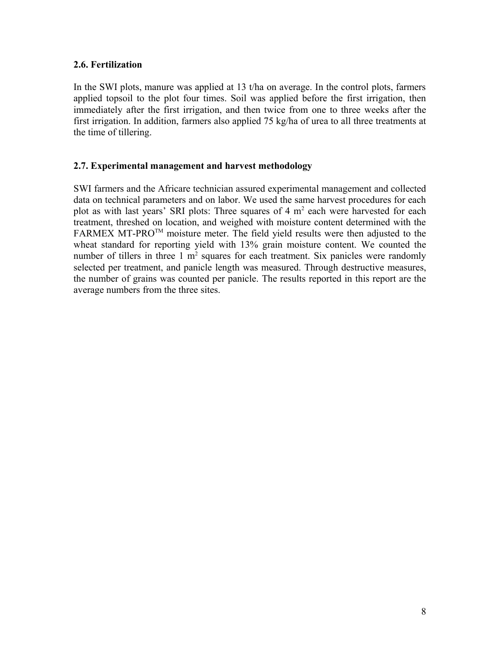#### **2.6. Fertilization**

In the SWI plots, manure was applied at 13 t/ha on average. In the control plots, farmers applied topsoil to the plot four times. Soil was applied before the first irrigation, then immediately after the first irrigation, and then twice from one to three weeks after the first irrigation. In addition, farmers also applied 75 kg/ha of urea to all three treatments at the time of tillering.

#### **2.7. Experimental management and harvest methodology**

SWI farmers and the Africare technician assured experimental management and collected data on technical parameters and on labor. We used the same harvest procedures for each plot as with last years' SRI plots: Three squares of 4 m<sup>2</sup> each were harvested for each treatment, threshed on location, and weighed with moisture content determined with the  $FARMEX MT-PRO^{TM}$  moisture meter. The field yield results were then adjusted to the wheat standard for reporting yield with 13% grain moisture content. We counted the number of tillers in three  $1 \text{ m}^2$  squares for each treatment. Six panicles were randomly selected per treatment, and panicle length was measured. Through destructive measures, the number of grains was counted per panicle. The results reported in this report are the average numbers from the three sites.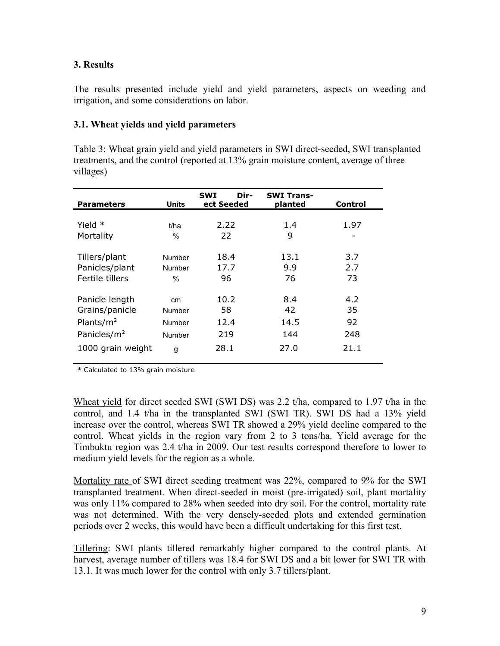#### **3. Results**

The results presented include yield and yield parameters, aspects on weeding and irrigation, and some considerations on labor.

#### **3.1. Wheat yields and yield parameters**

Table 3: Wheat grain yield and yield parameters in SWI direct-seeded, SWI transplanted treatments, and the control (reported at 13% grain moisture content, average of three villages)

| <b>Parameters</b>       | Units         | Dir-<br><b>SWI</b><br>ect Seeded | <b>SWI Trans-</b><br>planted | Control |
|-------------------------|---------------|----------------------------------|------------------------------|---------|
|                         |               |                                  |                              |         |
| Yield $*$               | t/ha          | 2.22                             | 1.4                          | 1.97    |
| Mortality               | $\%$          | 22                               | 9                            |         |
|                         |               |                                  |                              |         |
| Tillers/plant           | Number        | 18.4                             | 13.1                         | 3.7     |
| Panicles/plant          | Number        | 17.7                             | 9.9                          | 2.7     |
| Fertile tillers         | $\frac{0}{0}$ | 96                               | 76                           | 73      |
|                         |               |                                  |                              |         |
| Panicle length          | cm            | 10.2                             | 8.4                          | 4.2     |
| Grains/panicle          | Number        | 58                               | 42                           | 35      |
| Plants/ $m2$            | Number        | 12.4                             | 14.5                         | 92      |
| Panicles/m <sup>2</sup> | Number        | 219                              | 144                          | 248     |
| 1000 grain weight       | g             | 28.1                             | 27.0                         | 21.1    |
|                         |               |                                  |                              |         |

\* Calculated to 13% grain moisture

Wheat yield for direct seeded SWI (SWI DS) was 2.2 t/ha, compared to 1.97 t/ha in the control, and 1.4 t/ha in the transplanted SWI (SWI TR). SWI DS had a 13% yield increase over the control, whereas SWI TR showed a 29% yield decline compared to the control. Wheat yields in the region vary from 2 to 3 tons/ha. Yield average for the Timbuktu region was 2.4 t/ha in 2009. Our test results correspond therefore to lower to medium yield levels for the region as a whole.

Mortality rate of SWI direct seeding treatment was 22%, compared to 9% for the SWI transplanted treatment. When direct-seeded in moist (pre-irrigated) soil, plant mortality was only 11% compared to 28% when seeded into dry soil. For the control, mortality rate was not determined. With the very densely-seeded plots and extended germination periods over 2 weeks, this would have been a difficult undertaking for this first test.

Tillering: SWI plants tillered remarkably higher compared to the control plants. At harvest, average number of tillers was 18.4 for SWI DS and a bit lower for SWI TR with 13.1. It was much lower for the control with only 3.7 tillers/plant.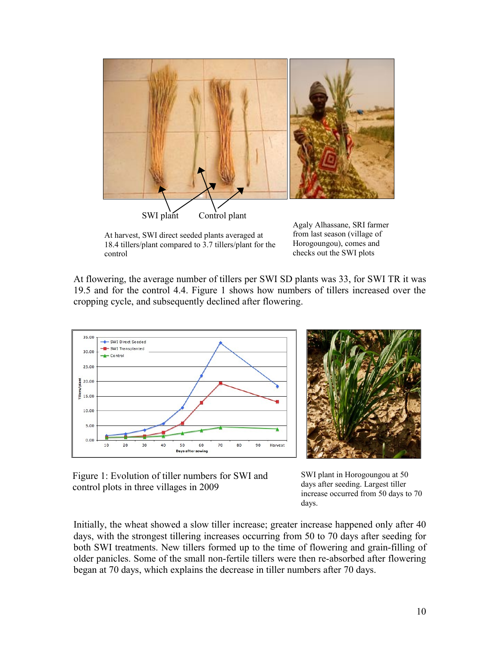

At harvest, SWI direct seeded plants averaged at 18.4 tillers/plant compared to 3.7 tillers/plant for the control

from last season (village of Horogoungou), comes and checks out the SWI plots

At flowering, the average number of tillers per SWI SD plants was 33, for SWI TR it was 19.5 and for the control 4.4. Figure 1 shows how numbers of tillers increased over the cropping cycle, and subsequently declined after flowering.





Figure 1: Evolution of tiller numbers for SWI and control plots in three villages in 2009

SWI plant in Horogoungou at 50 days after seeding. Largest tiller increase occurred from 50 days to 70 days.

Initially, the wheat showed a slow tiller increase; greater increase happened only after 40 days, with the strongest tillering increases occurring from 50 to 70 days after seeding for both SWI treatments. New tillers formed up to the time of flowering and grain-filling of older panicles. Some of the small non-fertile tillers were then re-absorbed after flowering began at 70 days, which explains the decrease in tiller numbers after 70 days.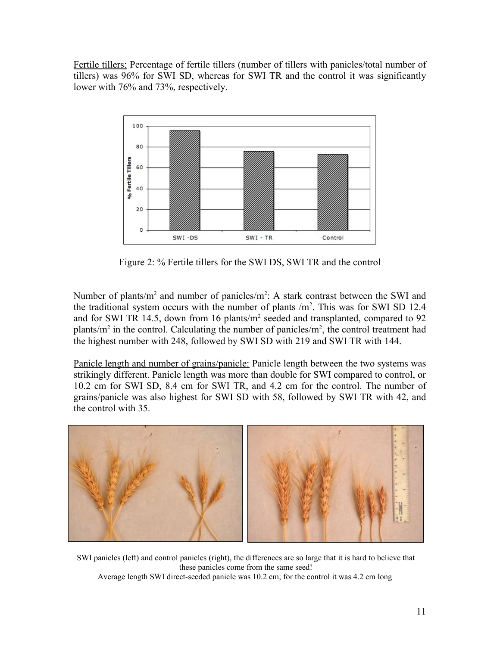Fertile tillers: Percentage of fertile tillers (number of tillers with panicles/total number of tillers) was 96% for SWI SD, whereas for SWI TR and the control it was significantly lower with 76% and 73%, respectively.



Figure 2: % Fertile tillers for the SWI DS, SWI TR and the control

Number of plants/m<sup>2</sup> and number of panicles/m<sup>2</sup>: A stark contrast between the SWI and the traditional system occurs with the number of plants  $/m<sup>2</sup>$ . This was for SWI SD 12.4 and for SWI TR 14.5, down from 16 plants/ $m<sup>2</sup>$  seeded and transplanted, compared to 92 plants/ $m^2$  in the control. Calculating the number of panicles/ $m^2$ , the control treatment had the highest number with 248, followed by SWI SD with 219 and SWI TR with 144.

Panicle length and number of grains/panicle: Panicle length between the two systems was strikingly different. Panicle length was more than double for SWI compared to control, or 10.2 cm for SWI SD, 8.4 cm for SWI TR, and 4.2 cm for the control. The number of grains/panicle was also highest for SWI SD with 58, followed by SWI TR with 42, and the control with 35.



SWI panicles (left) and control panicles (right), the differences are so large that it is hard to believe that these panicles come from the same seed! Average length SWI direct-seeded panicle was 10.2 cm; for the control it was 4.2 cm long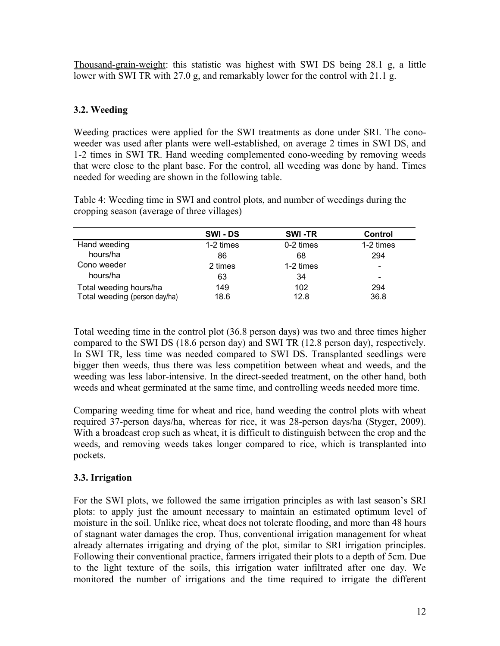Thousand-grain-weight: this statistic was highest with SWI DS being 28.1 g, a little lower with SWI TR with 27.0 g, and remarkably lower for the control with 21.1 g.

# **3.2. Weeding**

Weeding practices were applied for the SWI treatments as done under SRI. The conoweeder was used after plants were well-established, on average 2 times in SWI DS, and 1-2 times in SWI TR. Hand weeding complemented cono-weeding by removing weeds that were close to the plant base. For the control, all weeding was done by hand. Times needed for weeding are shown in the following table.

Table 4: Weeding time in SWI and control plots, and number of weedings during the cropping season (average of three villages)

|                               | <b>SWI-DS</b> | <b>SWI-TR</b> | Control                  |
|-------------------------------|---------------|---------------|--------------------------|
| Hand weeding                  | 1-2 times     | 0-2 times     | 1-2 times                |
| hours/ha                      | 86            | 68            | 294                      |
| Cono weeder                   | 2 times       | 1-2 times     | $\overline{\phantom{0}}$ |
| hours/ha                      | 63            | 34            | -                        |
| Total weeding hours/ha        | 149           | 102           | 294                      |
| Total weeding (person day/ha) | 18.6          | 12.8          | 36.8                     |

Total weeding time in the control plot (36.8 person days) was two and three times higher compared to the SWI DS (18.6 person day) and SWI TR (12.8 person day), respectively. In SWI TR, less time was needed compared to SWI DS. Transplanted seedlings were bigger then weeds, thus there was less competition between wheat and weeds, and the weeding was less labor-intensive. In the direct-seeded treatment, on the other hand, both weeds and wheat germinated at the same time, and controlling weeds needed more time.

Comparing weeding time for wheat and rice, hand weeding the control plots with wheat required 37-person days/ha, whereas for rice, it was 28-person days/ha (Styger, 2009). With a broadcast crop such as wheat, it is difficult to distinguish between the crop and the weeds, and removing weeds takes longer compared to rice, which is transplanted into pockets.

# **3.3. Irrigation**

For the SWI plots, we followed the same irrigation principles as with last season's SRI plots: to apply just the amount necessary to maintain an estimated optimum level of moisture in the soil. Unlike rice, wheat does not tolerate flooding, and more than 48 hours of stagnant water damages the crop. Thus, conventional irrigation management for wheat already alternates irrigating and drying of the plot, similar to SRI irrigation principles. Following their conventional practice, farmers irrigated their plots to a depth of 5cm. Due to the light texture of the soils, this irrigation water infiltrated after one day. We monitored the number of irrigations and the time required to irrigate the different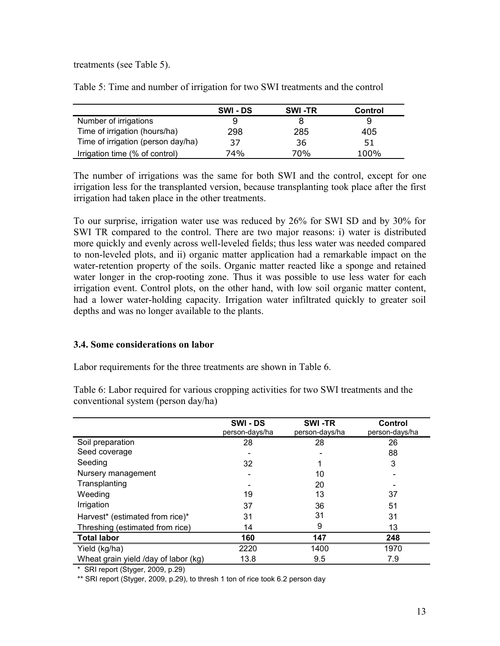treatments (see Table 5).

|                                    | <b>SWI-DS</b> | <b>SWI-TR</b> | Control |
|------------------------------------|---------------|---------------|---------|
| Number of irrigations              | 9             |               | 9       |
| Time of irrigation (hours/ha)      | 298           | 285           | 405     |
| Time of irrigation (person day/ha) | 37            | 36            | 51      |
| Irrigation time (% of control)     | 74%           | 70%           | 100%    |

Table 5: Time and number of irrigation for two SWI treatments and the control

The number of irrigations was the same for both SWI and the control, except for one irrigation less for the transplanted version, because transplanting took place after the first irrigation had taken place in the other treatments.

To our surprise, irrigation water use was reduced by 26% for SWI SD and by 30% for SWI TR compared to the control. There are two major reasons: i) water is distributed more quickly and evenly across well-leveled fields; thus less water was needed compared to non-leveled plots, and ii) organic matter application had a remarkable impact on the water-retention property of the soils. Organic matter reacted like a sponge and retained water longer in the crop-rooting zone. Thus it was possible to use less water for each irrigation event. Control plots, on the other hand, with low soil organic matter content, had a lower water-holding capacity. Irrigation water infiltrated quickly to greater soil depths and was no longer available to the plants.

#### **3.4. Some considerations on labor**

Labor requirements for the three treatments are shown in Table 6.

Table 6: Labor required for various cropping activities for two SWI treatments and the conventional system (person day/ha)

|                                      | SWI-DS<br>person-days/ha | SWI-TR<br>person-days/ha | Control<br>person-days/ha |
|--------------------------------------|--------------------------|--------------------------|---------------------------|
| Soil preparation                     | 28                       | 28                       | 26                        |
| Seed coverage                        |                          |                          | 88                        |
| Seeding                              | 32                       |                          | 3                         |
| Nursery management                   |                          | 10                       |                           |
| Transplanting                        |                          | 20                       |                           |
| Weeding                              | 19                       | 13                       | 37                        |
| Irrigation                           | 37                       | 36                       | 51                        |
| Harvest* (estimated from rice)*      | 31                       | 31                       | 31                        |
| Threshing (estimated from rice)      | 14                       | 9                        | 13                        |
| <b>Total labor</b>                   | 160                      | 147                      | 248                       |
| Yield (kg/ha)                        | 2220                     | 1400                     | 1970                      |
| Wheat grain yield /day of labor (kg) | 13.8                     | 9.5                      | 7.9                       |

\* SRI report (Styger, 2009, p.29)

\*\* SRI report (Styger, 2009, p.29), to thresh 1 ton of rice took 6.2 person day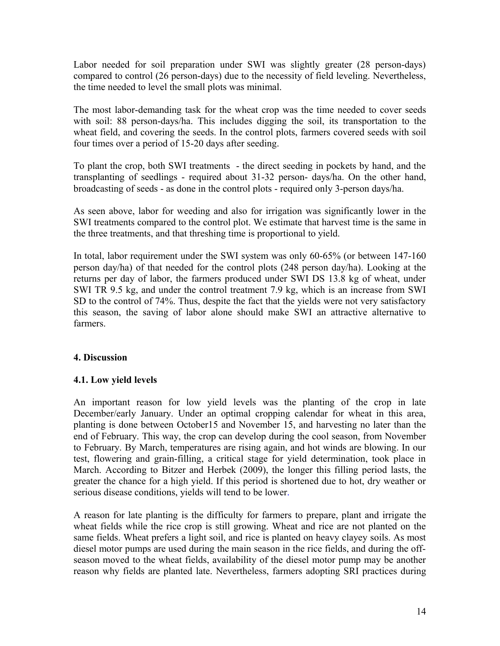Labor needed for soil preparation under SWI was slightly greater (28 person-days) compared to control (26 person-days) due to the necessity of field leveling. Nevertheless, the time needed to level the small plots was minimal.

The most labor-demanding task for the wheat crop was the time needed to cover seeds with soil: 88 person-days/ha. This includes digging the soil, its transportation to the wheat field, and covering the seeds. In the control plots, farmers covered seeds with soil four times over a period of 15-20 days after seeding.

To plant the crop, both SWI treatments - the direct seeding in pockets by hand, and the transplanting of seedlings - required about 31-32 person- days/ha. On the other hand, broadcasting of seeds - as done in the control plots - required only 3-person days/ha.

As seen above, labor for weeding and also for irrigation was significantly lower in the SWI treatments compared to the control plot. We estimate that harvest time is the same in the three treatments, and that threshing time is proportional to yield.

In total, labor requirement under the SWI system was only 60-65% (or between 147-160 person day/ha) of that needed for the control plots (248 person day/ha). Looking at the returns per day of labor, the farmers produced under SWI DS 13.8 kg of wheat, under SWI TR 9.5 kg, and under the control treatment 7.9 kg, which is an increase from SWI SD to the control of 74%. Thus, despite the fact that the yields were not very satisfactory this season, the saving of labor alone should make SWI an attractive alternative to farmers.

#### **4. Discussion**

#### **4.1. Low yield levels**

An important reason for low yield levels was the planting of the crop in late December/early January. Under an optimal cropping calendar for wheat in this area, planting is done between October15 and November 15, and harvesting no later than the end of February. This way, the crop can develop during the cool season, from November to February. By March, temperatures are rising again, and hot winds are blowing. In our test, flowering and grain-filling, a critical stage for yield determination, took place in March. According to Bitzer and Herbek (2009), the longer this filling period lasts, the greater the chance for a high yield. If this period is shortened due to hot, dry weather or serious disease conditions, yields will tend to be lower.

A reason for late planting is the difficulty for farmers to prepare, plant and irrigate the wheat fields while the rice crop is still growing. Wheat and rice are not planted on the same fields. Wheat prefers a light soil, and rice is planted on heavy clayey soils. As most diesel motor pumps are used during the main season in the rice fields, and during the offseason moved to the wheat fields, availability of the diesel motor pump may be another reason why fields are planted late. Nevertheless, farmers adopting SRI practices during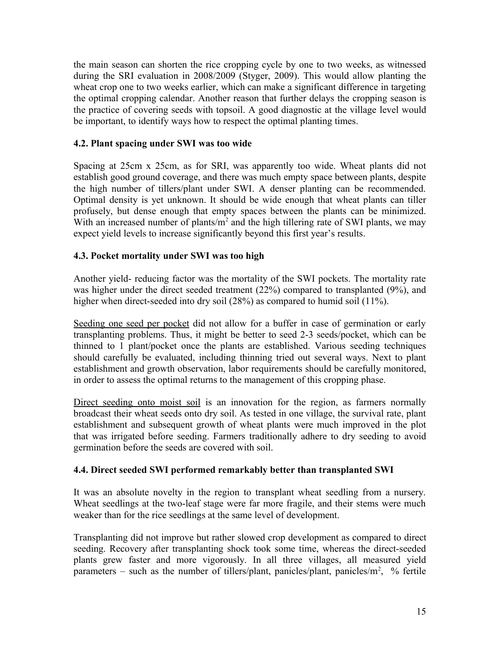the main season can shorten the rice cropping cycle by one to two weeks, as witnessed during the SRI evaluation in 2008/2009 (Styger, 2009). This would allow planting the wheat crop one to two weeks earlier, which can make a significant difference in targeting the optimal cropping calendar. Another reason that further delays the cropping season is the practice of covering seeds with topsoil. A good diagnostic at the village level would be important, to identify ways how to respect the optimal planting times.

#### **4.2. Plant spacing under SWI was too wide**

Spacing at 25cm x 25cm, as for SRI, was apparently too wide. Wheat plants did not establish good ground coverage, and there was much empty space between plants, despite the high number of tillers/plant under SWI. A denser planting can be recommended. Optimal density is yet unknown. It should be wide enough that wheat plants can tiller profusely, but dense enough that empty spaces between the plants can be minimized. With an increased number of plants/ $m<sup>2</sup>$  and the high tillering rate of SWI plants, we may expect yield levels to increase significantly beyond this first year's results.

#### **4.3. Pocket mortality under SWI was too high**

Another yield- reducing factor was the mortality of the SWI pockets. The mortality rate was higher under the direct seeded treatment (22%) compared to transplanted (9%), and higher when direct-seeded into dry soil (28%) as compared to humid soil (11%).

Seeding one seed per pocket did not allow for a buffer in case of germination or early transplanting problems. Thus, it might be better to seed 2-3 seeds/pocket, which can be thinned to 1 plant/pocket once the plants are established. Various seeding techniques should carefully be evaluated, including thinning tried out several ways. Next to plant establishment and growth observation, labor requirements should be carefully monitored, in order to assess the optimal returns to the management of this cropping phase.

Direct seeding onto moist soil is an innovation for the region, as farmers normally broadcast their wheat seeds onto dry soil. As tested in one village, the survival rate, plant establishment and subsequent growth of wheat plants were much improved in the plot that was irrigated before seeding. Farmers traditionally adhere to dry seeding to avoid germination before the seeds are covered with soil.

#### **4.4. Direct seeded SWI performed remarkably better than transplanted SWI**

It was an absolute novelty in the region to transplant wheat seedling from a nursery. Wheat seedlings at the two-leaf stage were far more fragile, and their stems were much weaker than for the rice seedlings at the same level of development.

Transplanting did not improve but rather slowed crop development as compared to direct seeding. Recovery after transplanting shock took some time, whereas the direct-seeded plants grew faster and more vigorously. In all three villages, all measured yield parameters – such as the number of tillers/plant, panicles/plant, panicles/ $m^2$ , % fertile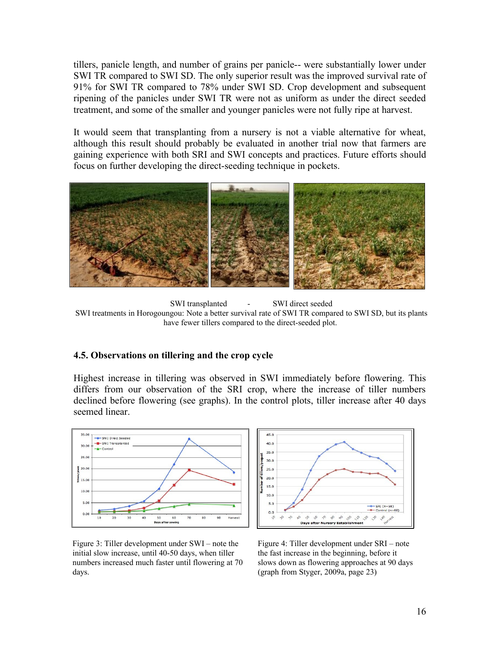tillers, panicle length, and number of grains per panicle-- were substantially lower under SWI TR compared to SWI SD. The only superior result was the improved survival rate of 91% for SWI TR compared to 78% under SWI SD. Crop development and subsequent ripening of the panicles under SWI TR were not as uniform as under the direct seeded treatment, and some of the smaller and younger panicles were not fully ripe at harvest.

It would seem that transplanting from a nursery is not a viable alternative for wheat, although this result should probably be evaluated in another trial now that farmers are gaining experience with both SRI and SWI concepts and practices. Future efforts should focus on further developing the direct-seeding technique in pockets.



SWI transplanted - SWI direct seeded SWI treatments in Horogoungou: Note a better survival rate of SWI TR compared to SWI SD, but its plants have fewer tillers compared to the direct-seeded plot.

#### **4.5. Observations on tillering and the crop cycle**

Highest increase in tillering was observed in SWI immediately before flowering. This differs from our observation of the SRI crop, where the increase of tiller numbers declined before flowering (see graphs). In the control plots, tiller increase after 40 days seemed linear.





Figure 3: Tiller development under SWI – note the initial slow increase, until 40-50 days, when tiller numbers increased much faster until flowering at 70 days.

Figure 4: Tiller development under SRI – note the fast increase in the beginning, before it slows down as flowering approaches at 90 days (graph from Styger, 2009a, page 23)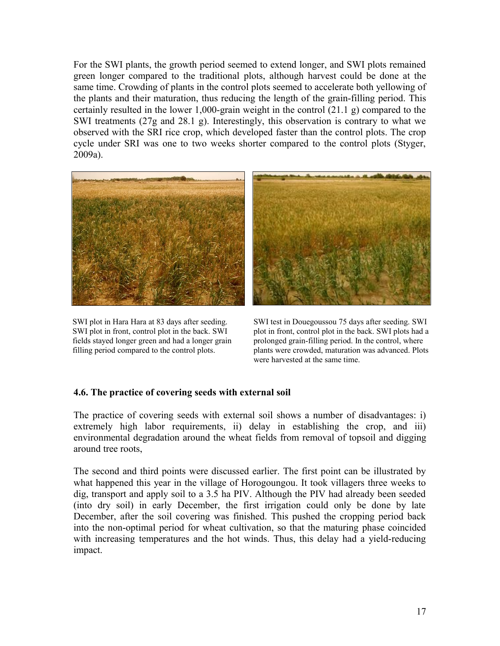For the SWI plants, the growth period seemed to extend longer, and SWI plots remained green longer compared to the traditional plots, although harvest could be done at the same time. Crowding of plants in the control plots seemed to accelerate both yellowing of the plants and their maturation, thus reducing the length of the grain-filling period. This certainly resulted in the lower 1,000-grain weight in the control (21.1 g) compared to the SWI treatments (27g and 28.1 g). Interestingly, this observation is contrary to what we observed with the SRI rice crop, which developed faster than the control plots. The crop cycle under SRI was one to two weeks shorter compared to the control plots (Styger, 2009a).



SWI plot in Hara Hara at 83 days after seeding. SWI plot in front, control plot in the back. SWI fields stayed longer green and had a longer grain filling period compared to the control plots.



SWI test in Douegoussou 75 days after seeding. SWI plot in front, control plot in the back. SWI plots had a prolonged grain-filling period. In the control, where plants were crowded, maturation was advanced. Plots were harvested at the same time.

#### **4.6. The practice of covering seeds with external soil**

The practice of covering seeds with external soil shows a number of disadvantages: i) extremely high labor requirements, ii) delay in establishing the crop, and iii) environmental degradation around the wheat fields from removal of topsoil and digging around tree roots,

The second and third points were discussed earlier. The first point can be illustrated by what happened this year in the village of Horogoungou. It took villagers three weeks to dig, transport and apply soil to a 3.5 ha PIV. Although the PIV had already been seeded (into dry soil) in early December, the first irrigation could only be done by late December, after the soil covering was finished. This pushed the cropping period back into the non-optimal period for wheat cultivation, so that the maturing phase coincided with increasing temperatures and the hot winds. Thus, this delay had a yield-reducing impact.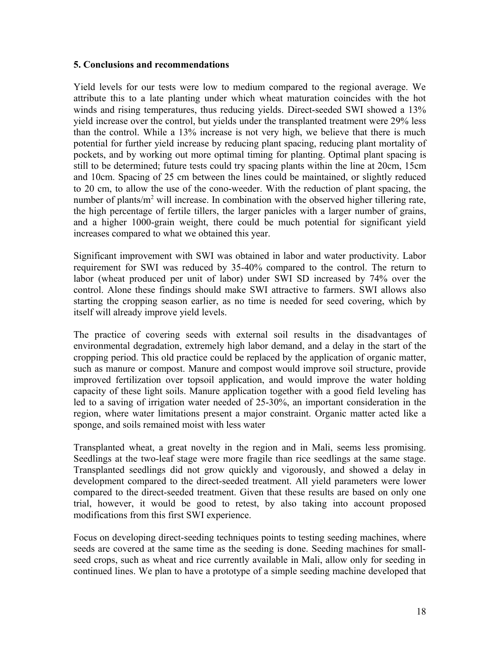#### **5. Conclusions and recommendations**

Yield levels for our tests were low to medium compared to the regional average. We attribute this to a late planting under which wheat maturation coincides with the hot winds and rising temperatures, thus reducing yields. Direct-seeded SWI showed a 13% yield increase over the control, but yields under the transplanted treatment were 29% less than the control. While a 13% increase is not very high, we believe that there is much potential for further yield increase by reducing plant spacing, reducing plant mortality of pockets, and by working out more optimal timing for planting. Optimal plant spacing is still to be determined; future tests could try spacing plants within the line at 20cm, 15cm and 10cm. Spacing of 25 cm between the lines could be maintained, or slightly reduced to 20 cm, to allow the use of the cono-weeder. With the reduction of plant spacing, the number of plants/m<sup>2</sup> will increase. In combination with the observed higher tillering rate, the high percentage of fertile tillers, the larger panicles with a larger number of grains, and a higher 1000-grain weight, there could be much potential for significant yield increases compared to what we obtained this year.

Significant improvement with SWI was obtained in labor and water productivity. Labor requirement for SWI was reduced by 35-40% compared to the control. The return to labor (wheat produced per unit of labor) under SWI SD increased by 74% over the control. Alone these findings should make SWI attractive to farmers. SWI allows also starting the cropping season earlier, as no time is needed for seed covering, which by itself will already improve yield levels.

The practice of covering seeds with external soil results in the disadvantages of environmental degradation, extremely high labor demand, and a delay in the start of the cropping period. This old practice could be replaced by the application of organic matter, such as manure or compost. Manure and compost would improve soil structure, provide improved fertilization over topsoil application, and would improve the water holding capacity of these light soils. Manure application together with a good field leveling has led to a saving of irrigation water needed of 25-30%, an important consideration in the region, where water limitations present a major constraint. Organic matter acted like a sponge, and soils remained moist with less water

Transplanted wheat, a great novelty in the region and in Mali, seems less promising. Seedlings at the two-leaf stage were more fragile than rice seedlings at the same stage. Transplanted seedlings did not grow quickly and vigorously, and showed a delay in development compared to the direct-seeded treatment. All yield parameters were lower compared to the direct-seeded treatment. Given that these results are based on only one trial, however, it would be good to retest, by also taking into account proposed modifications from this first SWI experience.

Focus on developing direct-seeding techniques points to testing seeding machines, where seeds are covered at the same time as the seeding is done. Seeding machines for smallseed crops, such as wheat and rice currently available in Mali, allow only for seeding in continued lines. We plan to have a prototype of a simple seeding machine developed that